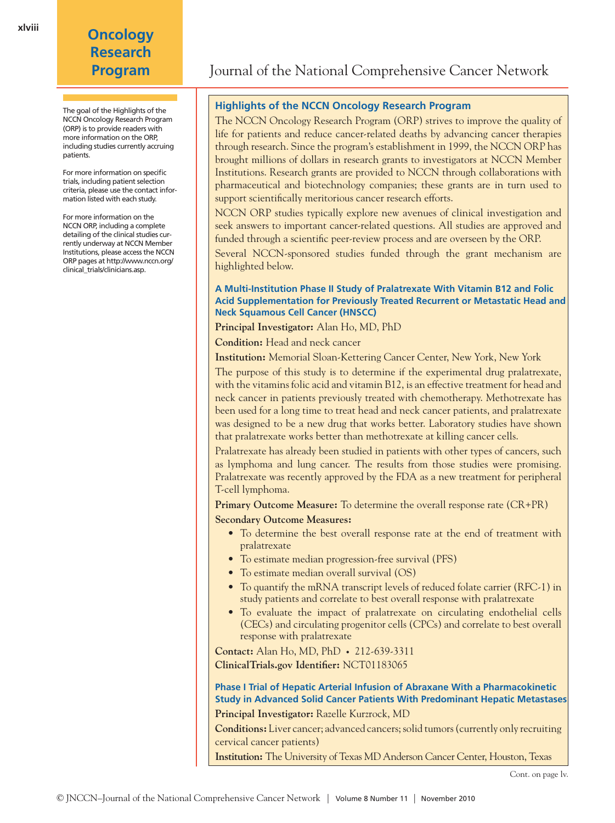# **Oncology Research**

The goal of the Highlights of the NCCN Oncology Research Program (ORP) is to provide readers with more information on the ORP, including studies currently accruing patients.

For more information on specific trials, including patient selection criteria, please use the contact information listed with each study.

For more information on the NCCN ORP, including a complete detailing of the clinical studies currently underway at NCCN Member Institutions, please access the NCCN ORP pages at http://www.nccn.org/ clinical\_trials/clinicians.asp.

## **Program** Journal of the National Comprehensive Cancer Network

### **Highlights of the NCCN Oncology Research Program**

The NCCN Oncology Research Program (ORP) strives to improve the quality of life for patients and reduce cancer-related deaths by advancing cancer therapies through research. Since the program's establishment in 1999, the NCCN ORP has brought millions of dollars in research grants to investigators at NCCN Member Institutions. Research grants are provided to NCCN through collaborations with pharmaceutical and biotechnology companies; these grants are in turn used to support scientifically meritorious cancer research efforts.

NCCN ORP studies typically explore new avenues of clinical investigation and seek answers to important cancer-related questions. All studies are approved and funded through a scientific peer-review process and are overseen by the ORP.

Several NCCN-sponsored studies funded through the grant mechanism are highlighted below.

#### **A Multi-Institution Phase II Study of Pralatrexate With Vitamin B12 and Folic Acid Supplementation for Previously Treated Recurrent or Metastatic Head and Neck Squamous Cell Cancer (HNSCC)**

**Principal Investigator:** Alan Ho, MD, PhD

**Condition:** Head and neck cancer

**Institution:** Memorial Sloan-Kettering Cancer Center, New York, New York

The purpose of this study is to determine if the experimental drug pralatrexate, with the vitamins folic acid and vitamin B12, is an effective treatment for head and neck cancer in patients previously treated with chemotherapy. Methotrexate has been used for a long time to treat head and neck cancer patients, and pralatrexate was designed to be a new drug that works better. Laboratory studies have shown that pralatrexate works better than methotrexate at killing cancer cells.

Pralatrexate has already been studied in patients with other types of cancers, such as lymphoma and lung cancer. The results from those studies were promising. Pralatrexate was recently approved by the FDA as a new treatment for peripheral T-cell lymphoma.

**Primary Outcome Measure:** To determine the overall response rate (CR+PR)

**Secondary Outcome Measures:**

- To determine the best overall response rate at the end of treatment with pralatrexate
- To estimate median progression-free survival (PFS)
- To estimate median overall survival (OS)
- To quantify the mRNA transcript levels of reduced folate carrier (RFC-1) in study patients and correlate to best overall response with pralatrexate
- To evaluate the impact of pralatrexate on circulating endothelial cells (CECs) and circulating progenitor cells (CPCs) and correlate to best overall response with pralatrexate

**Contact:** Alan Ho, MD, PhD • 212-639-3311 **ClinicalTrials.gov Identifier:** NCT01183065

**Phase I Trial of Hepatic Arterial Infusion of Abraxane With a Pharmacokinetic Study in Advanced Solid Cancer Patients With Predominant Hepatic Metastases**

**Principal Investigator:** Razelle Kurzrock, MD

**Conditions:** Liver cancer; advanced cancers; solid tumors (currently only recruiting cervical cancer patients)

**Institution:** The University of Texas MD Anderson Cancer Center, Houston, Texas